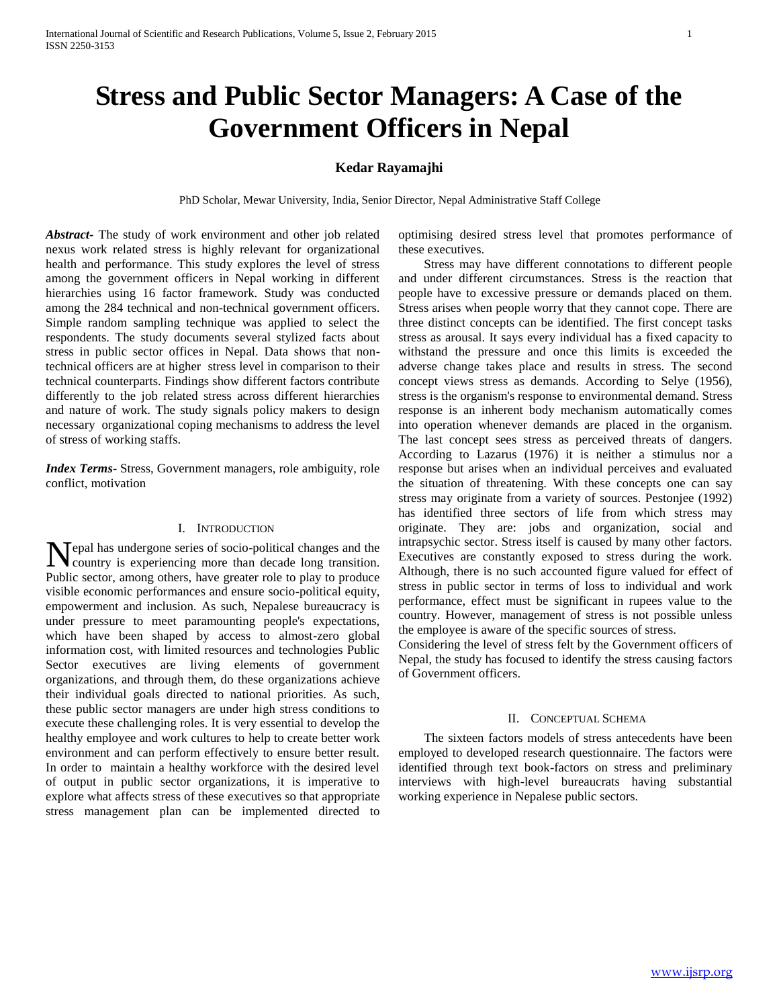# **Stress and Public Sector Managers: A Case of the Government Officers in Nepal**

# **Kedar Rayamajhi**

PhD Scholar, Mewar University, India, Senior Director, Nepal Administrative Staff College

*Abstract***-** The study of work environment and other job related nexus work related stress is highly relevant for organizational health and performance. This study explores the level of stress among the government officers in Nepal working in different hierarchies using 16 factor framework. Study was conducted among the 284 technical and non-technical government officers. Simple random sampling technique was applied to select the respondents. The study documents several stylized facts about stress in public sector offices in Nepal. Data shows that nontechnical officers are at higher stress level in comparison to their technical counterparts. Findings show different factors contribute differently to the job related stress across different hierarchies and nature of work. The study signals policy makers to design necessary organizational coping mechanisms to address the level of stress of working staffs.

*Index Terms*- Stress, Government managers, role ambiguity, role conflict, motivation

#### I. INTRODUCTION

epal has undergone series of socio-political changes and the Nepal has undergone series of socio-political changes and the country is experiencing more than decade long transition. Public sector, among others, have greater role to play to produce visible economic performances and ensure socio-political equity, empowerment and inclusion. As such, Nepalese bureaucracy is under pressure to meet paramounting people's expectations, which have been shaped by access to almost-zero global information cost, with limited resources and technologies Public Sector executives are living elements of government organizations, and through them, do these organizations achieve their individual goals directed to national priorities. As such, these public sector managers are under high stress conditions to execute these challenging roles. It is very essential to develop the healthy employee and work cultures to help to create better work environment and can perform effectively to ensure better result. In order to maintain a healthy workforce with the desired level of output in public sector organizations, it is imperative to explore what affects stress of these executives so that appropriate stress management plan can be implemented directed to

optimising desired stress level that promotes performance of these executives.

 Stress may have different connotations to different people and under different circumstances. Stress is the reaction that people have to excessive pressure or demands placed on them. Stress arises when people worry that they cannot cope. There are three distinct concepts can be identified. The first concept tasks stress as arousal. It says every individual has a fixed capacity to withstand the pressure and once this limits is exceeded the adverse change takes place and results in stress. The second concept views stress as demands. According to Selye (1956), stress is the organism's response to environmental demand. Stress response is an inherent body mechanism automatically comes into operation whenever demands are placed in the organism. The last concept sees stress as perceived threats of dangers. According to Lazarus (1976) it is neither a stimulus nor a response but arises when an individual perceives and evaluated the situation of threatening. With these concepts one can say stress may originate from a variety of sources. Pestonjee (1992) has identified three sectors of life from which stress may originate. They are: jobs and organization, social and intrapsychic sector. Stress itself is caused by many other factors. Executives are constantly exposed to stress during the work. Although, there is no such accounted figure valued for effect of stress in public sector in terms of loss to individual and work performance, effect must be significant in rupees value to the country. However, management of stress is not possible unless the employee is aware of the specific sources of stress.

Considering the level of stress felt by the Government officers of Nepal, the study has focused to identify the stress causing factors of Government officers.

#### II. CONCEPTUAL SCHEMA

 The sixteen factors models of stress antecedents have been employed to developed research questionnaire. The factors were identified through text book-factors on stress and preliminary interviews with high-level bureaucrats having substantial working experience in Nepalese public sectors.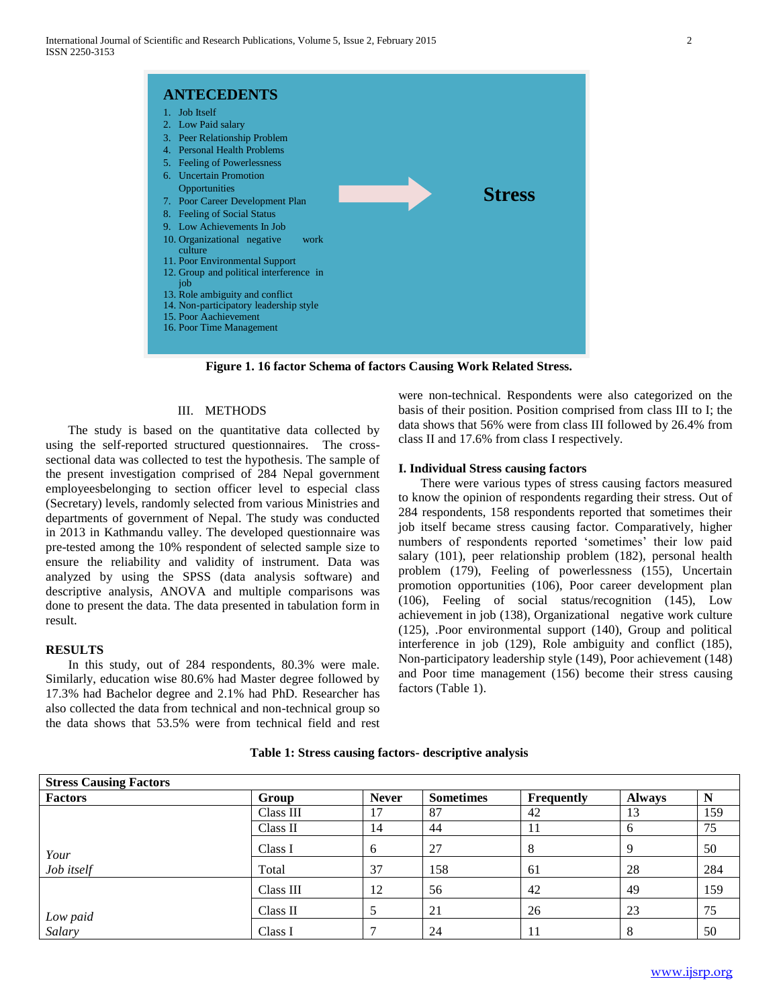

**Figure 1. 16 factor Schema of factors Causing Work Related Stress.**

#### III. METHODS

 The study is based on the quantitative data collected by using the self-reported structured questionnaires. The crosssectional data was collected to test the hypothesis. The sample of the present investigation comprised of 284 Nepal government employeesbelonging to section officer level to especial class (Secretary) levels, randomly selected from various Ministries and departments of government of Nepal. The study was conducted in 2013 in Kathmandu valley. The developed questionnaire was pre-tested among the 10% respondent of selected sample size to ensure the reliability and validity of instrument. Data was analyzed by using the SPSS (data analysis software) and descriptive analysis, ANOVA and multiple comparisons was done to present the data. The data presented in tabulation form in result.

#### **RESULTS**

 In this study, out of 284 respondents, 80.3% were male. Similarly, education wise 80.6% had Master degree followed by 17.3% had Bachelor degree and 2.1% had PhD. Researcher has also collected the data from technical and non-technical group so the data shows that 53.5% were from technical field and rest were non-technical. Respondents were also categorized on the basis of their position. Position comprised from class III to I; the data shows that 56% were from class III followed by 26.4% from class II and 17.6% from class I respectively.

#### **I. Individual Stress causing factors**

 There were various types of stress causing factors measured to know the opinion of respondents regarding their stress. Out of 284 respondents, 158 respondents reported that sometimes their job itself became stress causing factor. Comparatively, higher numbers of respondents reported 'sometimes' their low paid salary (101), peer relationship problem (182), personal health problem (179), Feeling of powerlessness (155), Uncertain promotion opportunities (106), Poor career development plan (106), Feeling of social status/recognition (145), Low achievement in job (138), Organizational negative work culture (125), .Poor environmental support (140), Group and political interference in job (129), Role ambiguity and conflict (185), Non-participatory leadership style (149), Poor achievement (148) and Poor time management (156) become their stress causing factors (Table 1).

| <b>Stress Causing Factors</b> |           |              |                  |                   |               |     |
|-------------------------------|-----------|--------------|------------------|-------------------|---------------|-----|
| <b>Factors</b>                | Group     | <b>Never</b> | <b>Sometimes</b> | <b>Frequently</b> | <b>Always</b> |     |
|                               | Class III | 17           | 87               | 42                | 13            | 159 |
|                               | Class II  | 14           | 44               | 11                | <sub>0</sub>  | 75  |
| Your                          | Class I   | 6            | 27               | 8                 |               | 50  |
| Job itself                    | Total     | 37           | 158              | 61                | 28            | 284 |
|                               | Class III | 12           | 56               | 42                | 49            | 159 |
|                               | Class II  |              | 21               | 26                | 23            | 75  |
| Low paid<br>Salary            | Class I   |              | 24               |                   |               | 50  |

# **Table 1: Stress causing factors- descriptive analysis**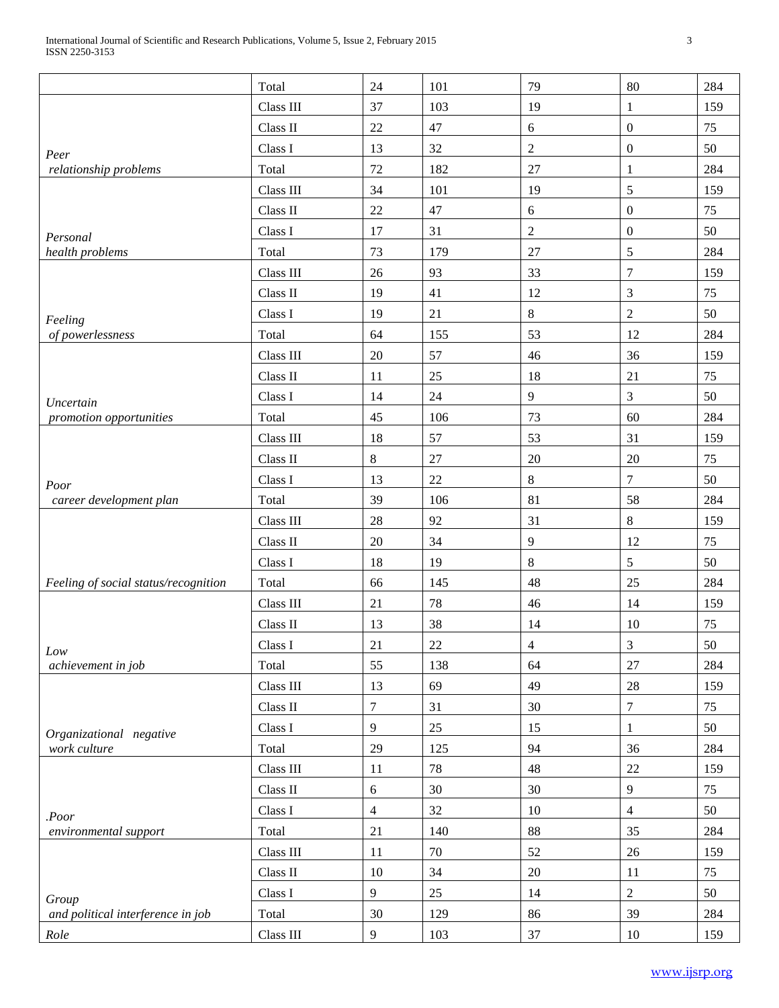|                                      | Total         | 24             | 101 | 79             | 80               | 284 |
|--------------------------------------|---------------|----------------|-----|----------------|------------------|-----|
|                                      | Class III     | 37             | 103 | 19             | $\mathbf{1}$     | 159 |
|                                      | Class II      | 22             | 47  | $6\,$          | $\boldsymbol{0}$ | 75  |
| Peer                                 | Class I       | 13             | 32  | $\overline{2}$ | $\mathbf{0}$     | 50  |
| relationship problems                | Total         | 72             | 182 | 27             | $\mathbf{1}$     | 284 |
|                                      | Class III     | 34             | 101 | 19             | 5                | 159 |
|                                      | Class II      | 22             | 47  | 6              | $\boldsymbol{0}$ | 75  |
| Personal                             | Class I       | 17             | 31  | $\overline{2}$ | $\mathbf{0}$     | 50  |
| health problems                      | Total         | 73             | 179 | 27             | 5                | 284 |
|                                      | Class III     | 26             | 93  | 33             | $\overline{7}$   | 159 |
|                                      | Class II      | 19             | 41  | 12             | 3                | 75  |
| Feeling                              | Class I       | 19             | 21  | $8\,$          | $\overline{2}$   | 50  |
| of powerlessness                     | Total         | 64             | 155 | 53             | 12               | 284 |
|                                      | Class III     | $20\,$         | 57  | 46             | 36               | 159 |
|                                      | Class II      | 11             | 25  | 18             | 21               | 75  |
| Uncertain                            | Class I       | 14             | 24  | 9              | 3                | 50  |
| promotion opportunities              | Total         | 45             | 106 | 73             | 60               | 284 |
|                                      | Class III     | 18             | 57  | 53             | 31               | 159 |
|                                      | Class II      | $8\,$          | 27  | 20             | 20               | 75  |
| Poor                                 | Class I       | 13             | 22  | $8\,$          | $\overline{7}$   | 50  |
| career development plan              | Total         | 39             | 106 | 81             | 58               | 284 |
|                                      | Class III     | 28             | 92  | 31             | $8\,$            | 159 |
|                                      | Class II      | $20\,$         | 34  | 9              | 12               | 75  |
|                                      | Class I       | 18             | 19  | $8\,$          | 5                | 50  |
| Feeling of social status/recognition | Total         | 66             | 145 | 48             | 25               | 284 |
|                                      | Class III     | 21             | 78  | 46             | 14               | 159 |
|                                      | Class II      | 13             | 38  | 14             | 10               | 75  |
| Low                                  | Class $\rm I$ | $21\,$         | 22  | $\overline{4}$ | $\mathfrak{Z}$   | 50  |
| achievement in job                   | Total         | 55             | 138 | 64             | 27               | 284 |
|                                      | Class III     | 13             | 69  | 49             | 28               | 159 |
|                                      | Class II      | $\overline{7}$ | 31  | 30             | $\overline{7}$   | 75  |
| Organizational negative              | Class I       | 9              | 25  | 15             | $\mathbf{1}$     | 50  |
| work culture                         | Total         | 29             | 125 | 94             | 36               | 284 |
|                                      | Class III     | 11             | 78  | 48             | 22               | 159 |
|                                      | Class II      | 6              | 30  | 30             | 9                | 75  |
| .Poor                                | Class I       | $\overline{4}$ | 32  | 10             | $\overline{4}$   | 50  |
| environmental support                | Total         | 21             | 140 | 88             | 35               | 284 |
|                                      | Class III     | 11             | 70  | 52             | 26               | 159 |
|                                      | Class II      | 10             | 34  | $20\,$         | 11               | 75  |
| Group                                | Class I       | 9              | 25  | 14             | $\boldsymbol{2}$ | 50  |
| and political interference in job    | Total         | 30             | 129 | 86             | 39               | 284 |
| Role                                 | Class III     | 9              | 103 | 37             | 10               | 159 |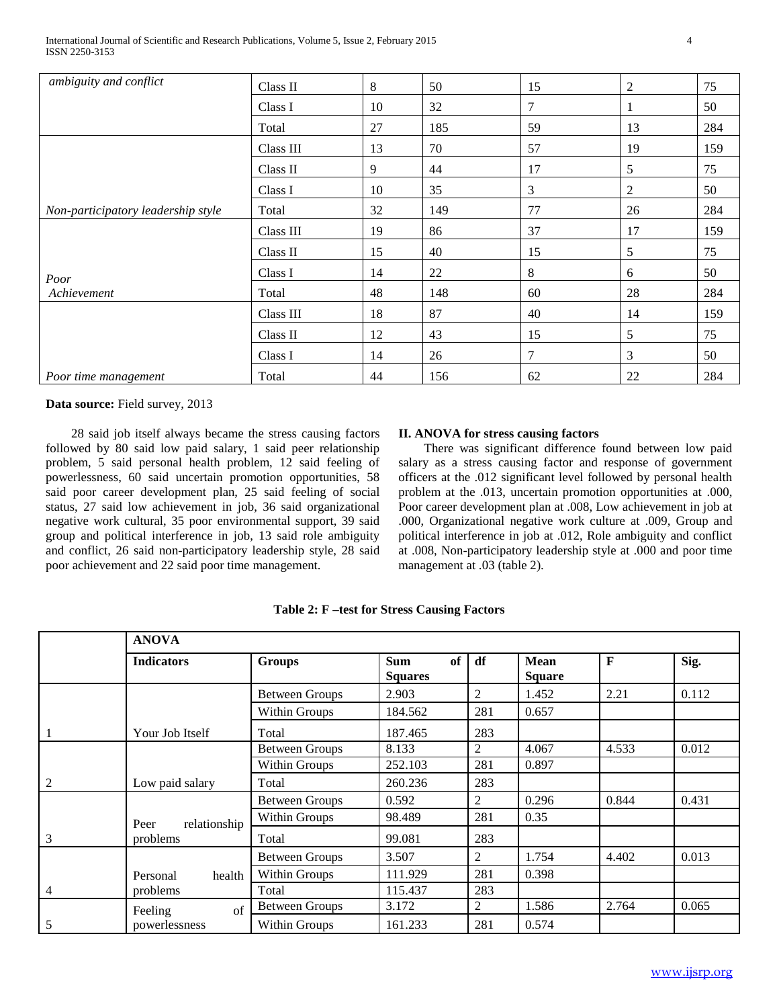| ambiguity and conflict             | Class II  | 8  | 50  | 15             | $\overline{2}$ | 75  |
|------------------------------------|-----------|----|-----|----------------|----------------|-----|
|                                    | Class I   | 10 | 32  | $\overline{7}$ | 1              | 50  |
|                                    | Total     | 27 | 185 | 59             | 13             | 284 |
|                                    | Class III | 13 | 70  | 57             | 19             | 159 |
|                                    | Class II  | 9  | 44  | 17             | 5              | 75  |
|                                    | Class I   | 10 | 35  | 3              | 2              | 50  |
| Non-participatory leadership style | Total     | 32 | 149 | 77             | 26             | 284 |
|                                    | Class III | 19 | 86  | 37             | 17             | 159 |
|                                    | Class II  | 15 | 40  | 15             | 5              | 75  |
| Poor                               | Class I   | 14 | 22  | 8              | 6              | 50  |
| Achievement                        | Total     | 48 | 148 | 60             | 28             | 284 |
|                                    | Class III | 18 | 87  | 40             | 14             | 159 |
|                                    | Class II  | 12 | 43  | 15             | 5              | 75  |
|                                    | Class I   | 14 | 26  | 7              | 3              | 50  |
| Poor time management               | Total     | 44 | 156 | 62             | 22             | 284 |

 28 said job itself always became the stress causing factors followed by 80 said low paid salary, 1 said peer relationship problem, 5 said personal health problem, 12 said feeling of powerlessness, 60 said uncertain promotion opportunities, 58 said poor career development plan, 25 said feeling of social status, 27 said low achievement in job, 36 said organizational negative work cultural, 35 poor environmental support, 39 said group and political interference in job, 13 said role ambiguity and conflict, 26 said non-participatory leadership style, 28 said poor achievement and 22 said poor time management.

#### **II. ANOVA for stress causing factors**

 There was significant difference found between low paid salary as a stress causing factor and response of government officers at the .012 significant level followed by personal health problem at the .013, uncertain promotion opportunities at .000, Poor career development plan at .008, Low achievement in job at .000, Organizational negative work culture at .009, Group and political interference in job at .012, Role ambiguity and conflict at .008, Non-participatory leadership style at .000 and poor time management at .03 (table 2).

|                | <b>ANOVA</b>         |                       |                                    |     |                       |       |       |  |  |
|----------------|----------------------|-----------------------|------------------------------------|-----|-----------------------|-------|-------|--|--|
|                | <b>Indicators</b>    | <b>Groups</b>         | of<br><b>Sum</b><br><b>Squares</b> | df  | Mean<br><b>Square</b> | F     | Sig.  |  |  |
|                |                      | <b>Between Groups</b> | 2.903                              | 2   | 1.452                 | 2.21  | 0.112 |  |  |
|                |                      | Within Groups         | 184.562                            | 281 | 0.657                 |       |       |  |  |
| -1             | Your Job Itself      | Total                 | 187.465                            | 283 |                       |       |       |  |  |
|                |                      | <b>Between Groups</b> | 8.133                              | 2   | 4.067                 | 4.533 | 0.012 |  |  |
|                |                      | Within Groups         | 252.103                            | 281 | 0.897                 |       |       |  |  |
| $\overline{2}$ | Low paid salary      | Total                 | 260.236                            | 283 |                       |       |       |  |  |
|                |                      | <b>Between Groups</b> | 0.592                              | 2   | 0.296                 | 0.844 | 0.431 |  |  |
|                | relationship<br>Peer | Within Groups         | 98.489                             | 281 | 0.35                  |       |       |  |  |
| 3              | problems             | Total                 | 99.081                             | 283 |                       |       |       |  |  |
|                |                      | <b>Between Groups</b> | 3.507                              | 2   | 1.754                 | 4.402 | 0.013 |  |  |
|                | health<br>Personal   | Within Groups         | 111.929                            | 281 | 0.398                 |       |       |  |  |
| $\overline{4}$ | problems             | Total                 | 115.437                            | 283 |                       |       |       |  |  |
|                | of<br>Feeling        | <b>Between Groups</b> | 3.172                              | 2   | 1.586                 | 2.764 | 0.065 |  |  |
| 5              | powerlessness        | Within Groups         | 161.233                            | 281 | 0.574                 |       |       |  |  |

**Table 2: F –test for Stress Causing Factors**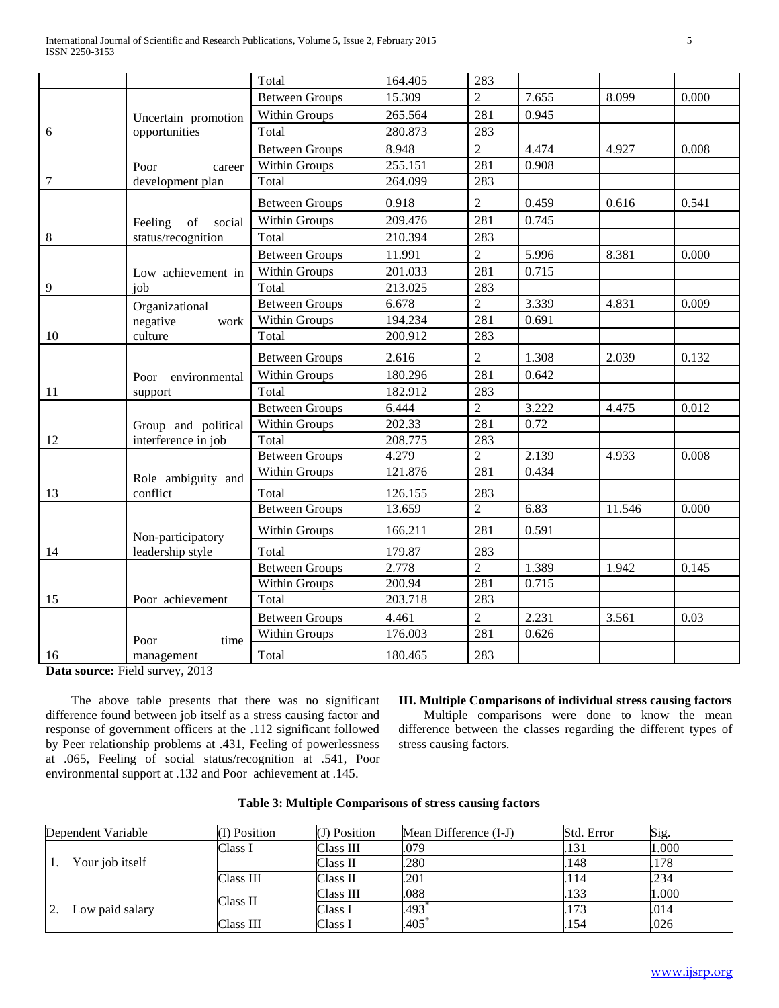|       |                         | Total                 | 164.405 | 283            |       |        |       |
|-------|-------------------------|-----------------------|---------|----------------|-------|--------|-------|
|       |                         | <b>Between Groups</b> | 15.309  | $\overline{2}$ | 7.655 | 8.099  | 0.000 |
|       | Uncertain promotion     | Within Groups         | 265.564 | 281            | 0.945 |        |       |
| 6     | opportunities           | Total                 | 280.873 | 283            |       |        |       |
|       |                         | <b>Between Groups</b> | 8.948   | $\overline{2}$ | 4.474 | 4.927  | 0.008 |
|       | Poor<br>career          | Within Groups         | 255.151 | 281            | 0.908 |        |       |
| 7     | development plan        | Total                 | 264.099 | 283            |       |        |       |
|       |                         | <b>Between Groups</b> | 0.918   | $\overline{2}$ | 0.459 | 0.616  | 0.541 |
|       | Feeling<br>of<br>social | Within Groups         | 209.476 | 281            | 0.745 |        |       |
| $\,8$ | status/recognition      | Total                 | 210.394 | 283            |       |        |       |
|       |                         | <b>Between Groups</b> | 11.991  | $\overline{2}$ | 5.996 | 8.381  | 0.000 |
|       | Low achievement in      | Within Groups         | 201.033 | 281            | 0.715 |        |       |
| 9     | job                     | Total                 | 213.025 | 283            |       |        |       |
|       | Organizational          | <b>Between Groups</b> | 6.678   | $\overline{2}$ | 3.339 | 4.831  | 0.009 |
|       | negative<br>work        | Within Groups         | 194.234 | 281            | 0.691 |        |       |
| 10    | culture                 | Total                 | 200.912 | 283            |       |        |       |
|       |                         | <b>Between Groups</b> | 2.616   | $\overline{2}$ | 1.308 | 2.039  | 0.132 |
|       | Poor<br>environmental   | Within Groups         | 180.296 | 281            | 0.642 |        |       |
| 11    | support                 | Total                 | 182.912 | 283            |       |        |       |
|       |                         | <b>Between Groups</b> | 6.444   | $\overline{2}$ | 3.222 | 4.475  | 0.012 |
|       | Group and political     | Within Groups         | 202.33  | 281            | 0.72  |        |       |
| 12    | interference in job     | Total                 | 208.775 | 283            |       |        |       |
|       |                         | <b>Between Groups</b> | 4.279   | $\overline{2}$ | 2.139 | 4.933  | 0.008 |
|       | Role ambiguity and      | Within Groups         | 121.876 | 281            | 0.434 |        |       |
| 13    | conflict                | Total                 | 126.155 | 283            |       |        |       |
|       |                         | <b>Between Groups</b> | 13.659  | $\overline{2}$ | 6.83  | 11.546 | 0.000 |
|       | Non-participatory       | Within Groups         | 166.211 | 281            | 0.591 |        |       |
| 14    | leadership style        | Total                 | 179.87  | 283            |       |        |       |
|       |                         | Between Groups        | 2.778   | $\overline{2}$ | 1.389 | 1.942  | 0.145 |
|       |                         | Within Groups         | 200.94  | 281            | 0.715 |        |       |
| 15    | Poor achievement        | Total                 | 203.718 | 283            |       |        |       |
|       |                         | <b>Between Groups</b> | 4.461   | $\overline{2}$ | 2.231 | 3.561  | 0.03  |
|       | Poor<br>time            | Within Groups         | 176.003 | 281            | 0.626 |        |       |
| 16    | management              | Total                 | 180.465 | 283            |       |        |       |

 The above table presents that there was no significant difference found between job itself as a stress causing factor and response of government officers at the .112 significant followed by Peer relationship problems at .431, Feeling of powerlessness at .065, Feeling of social status/recognition at .541, Poor environmental support at .132 and Poor achievement at .145.

# **III. Multiple Comparisons of individual stress causing factors**

 Multiple comparisons were done to know the mean difference between the classes regarding the different types of stress causing factors.

| Dependent Variable    | $(I)$ Position | (J) Position | Mean Difference (I-J) | Std. Error | Sig.  |
|-----------------------|----------------|--------------|-----------------------|------------|-------|
|                       | Class I        | Class III    | .079                  | 131        | 1.000 |
| Your job itself       |                | Class II     | .280                  | 148        | .178  |
|                       | Class III      | Class II     | .201                  | 114        | .234  |
|                       | Class II       | Class III    | .088                  | 133        | 1.000 |
| 2.<br>Low paid salary |                | Class I      | .493                  | 173        | .014  |
|                       | Class III      | Class I      | .405                  | 154        | .026  |

|  |  |  |  | Table 3: Multiple Comparisons of stress causing factors |  |  |  |  |
|--|--|--|--|---------------------------------------------------------|--|--|--|--|
|--|--|--|--|---------------------------------------------------------|--|--|--|--|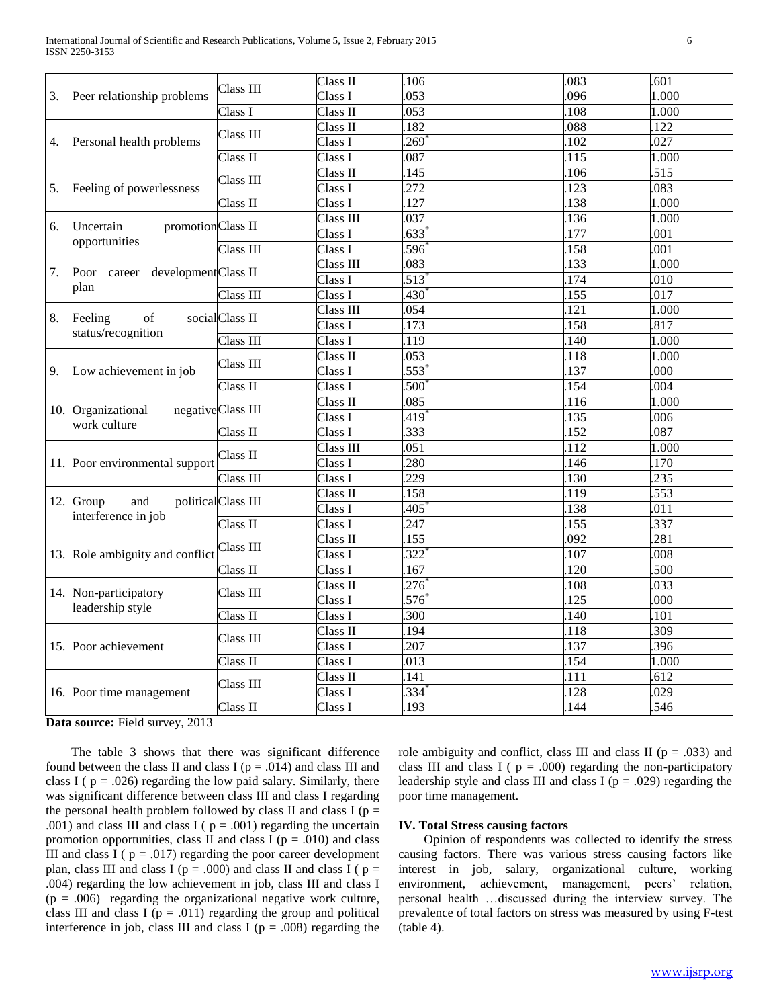|    |                                           |                    | Class II  | .106              | .083              | .601             |
|----|-------------------------------------------|--------------------|-----------|-------------------|-------------------|------------------|
| 3. | Peer relationship problems                | Class III          | Class I   | .053              | 096               | 1.000            |
|    |                                           | Class I            | Class II  | .053              | 108               | 1.000            |
|    |                                           |                    | Class II  | .182              | .088              | 122              |
| 4. | Personal health problems                  | Class III          | Class I   | 269               | 102               | .027             |
|    |                                           | Class II           | Class I   | .087              | 115               | 1.000            |
|    |                                           |                    | Class II  | 145               | 106               | .515             |
| 5. | Feeling of powerlessness                  | Class III          | Class I   | 272               | 123               | .083             |
|    |                                           | Class II           | Class I   | .127              | .138              | 1.000            |
|    |                                           |                    | Class III | .037              | 136               | 1.000            |
| 6. | promotionClass II<br>Uncertain            |                    | Class I   | .633              | 177               | .001             |
|    | opportunities                             | Class III          | Class I   | .596              | 158               | .001             |
|    |                                           |                    | Class III | .083              | 133               | 1.000            |
| 7. | career development Class II<br>Poor       |                    | Class I   | $\overline{513}$  | 174               | .010             |
|    | plan                                      | Class III          | Class I   | $430^{4}$         | 155               | .017             |
|    |                                           | socialClass II     | Class III | .054              | 121               | 1.000            |
| 8. | of<br>Feeling                             |                    | Class I   | .173              | 158               | .817             |
|    | status/recognition                        | Class III          | Class I   | .119              | 140               | 1.000            |
|    |                                           |                    | Class II  | .053              | .118              | 1.000            |
| 9. | Low achievement in job                    | Class III          | Class I   | .553              | 137               | .000             |
|    |                                           | Class II           | Class I   | .500 <sup>°</sup> | 154               | .004             |
|    |                                           |                    | Class II  | .085              | 116               | 1.000            |
|    | 10. Organizational<br>work culture        | negativeClass III  | Class I   | .419              | 135               | .006             |
|    |                                           | Class II           | Class I   | .333              | 152               | .087             |
|    |                                           |                    | Class III | .051              | 112               | 1.000            |
|    | 11. Poor environmental support            | Class II           | Class I   | .280              | 146               | 170              |
|    |                                           | Class III          | Class I   | .229              | .130              | 235              |
|    |                                           |                    | Class II  | .158              | 119               | 553              |
|    | 12. Group<br>and                          | politicalClass III | Class I   | .405              | 138               | .011             |
|    | interference in job                       | Class II           | Class I   | 247               | 155               | $\overline{337}$ |
|    |                                           |                    | Class II  | .155              | .092              | .281             |
|    | 13. Role ambiguity and conflict           | Class III          | Class I   | .322              | $\overline{.107}$ | .008             |
|    |                                           | Class II           | Class I   | 167               | 120               | 500              |
|    |                                           |                    | Class II  | 276               | 108               | .033             |
|    | 14. Non-participatory<br>leadership style | Class III          | Class I   | .576              | 125               | .000             |
|    |                                           | Class II           | Class I   | $\overline{300}$  | 140               | 101              |
|    |                                           |                    | Class II  | .194              | .118              | 309              |
|    | 15. Poor achievement                      | Class III          | Class I   | 207               | 137               | 396              |
|    |                                           | Class II           | Class I   | .013              | 154               | 1.000            |
|    |                                           |                    | Class II  | 141               | 111               | .612             |
|    | 16. Poor time management                  | Class III          | Class I   | .334              | 128               | .029             |
|    |                                           | Class II           | Class I   | .193              | 144               | .546             |

 The table 3 shows that there was significant difference found between the class II and class I ( $p = .014$ ) and class III and class I ( $p = .026$ ) regarding the low paid salary. Similarly, there was significant difference between class III and class I regarding the personal health problem followed by class II and class I ( $p =$ .001) and class III and class I ( $p = .001$ ) regarding the uncertain promotion opportunities, class II and class I ( $p = .010$ ) and class III and class I ( $p = .017$ ) regarding the poor career development plan, class III and class I ( $p = .000$ ) and class II and class I ( $p =$ .004) regarding the low achievement in job, class III and class I  $(p = .006)$  regarding the organizational negative work culture, class III and class I ( $p = .011$ ) regarding the group and political interference in job, class III and class I ( $p = .008$ ) regarding the role ambiguity and conflict, class III and class II ( $p = .033$ ) and class III and class I ( $p = .000$ ) regarding the non-participatory leadership style and class III and class I ( $p = .029$ ) regarding the poor time management.

#### **IV. Total Stress causing factors**

 Opinion of respondents was collected to identify the stress causing factors. There was various stress causing factors like interest in job, salary, organizational culture, working environment, achievement, management, peers' relation, personal health …discussed during the interview survey. The prevalence of total factors on stress was measured by using F-test (table 4).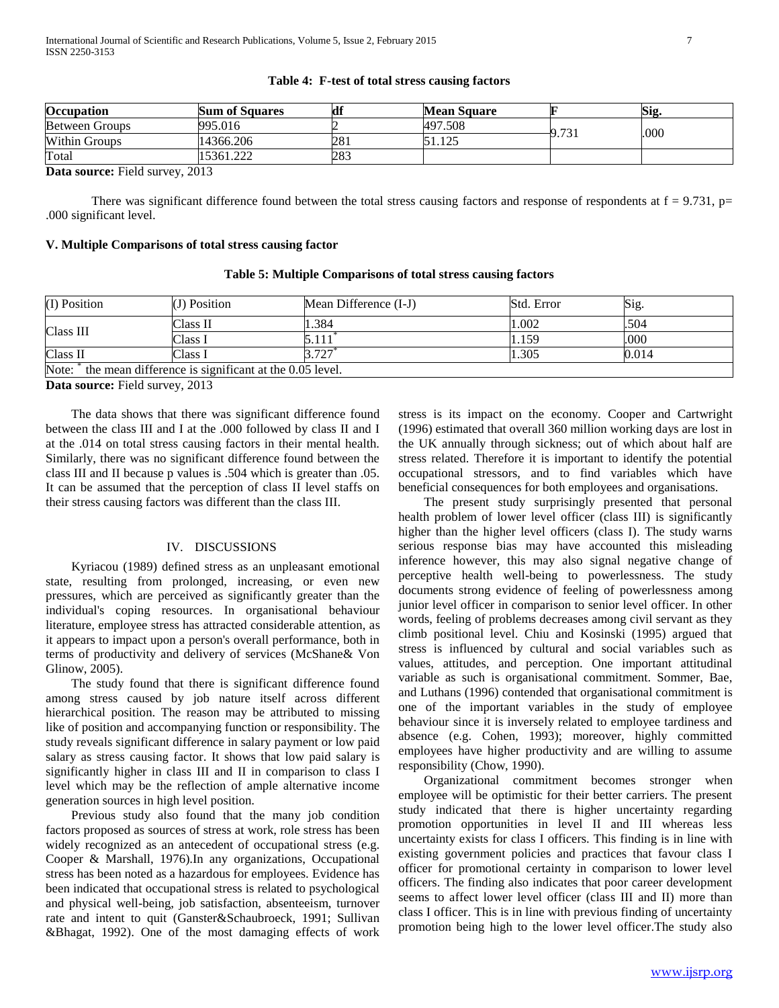| Table 4: F-test of total stress causing factors |  |  |  |  |  |
|-------------------------------------------------|--|--|--|--|--|
|-------------------------------------------------|--|--|--|--|--|

| Occupation                 | <b>Sum of Squares</b> | df  | <b>Mean Square</b> |       | Sig. |
|----------------------------|-----------------------|-----|--------------------|-------|------|
| <b>Between Groups</b>      | 995.016               |     | 497.508            | 9.731 |      |
| <b>Within Groups</b>       | 14366.206             | 281 | 51.125<br>125      |       | .000 |
| Total                      | 15361.222             | 283 |                    |       |      |
| $\sim$ $\sim$<br>$-1$ $-1$ | $\sim$ $\sim$ $\sim$  |     |                    |       |      |

There was significant difference found between the total stress causing factors and response of respondents at  $f = 9.731$ ,  $p=$ .000 significant level.

#### **V. Multiple Comparisons of total stress causing factor**

| (I) Position | (J) Position                                           | Mean Difference (I-J) | Std. Error | Sig.  |
|--------------|--------------------------------------------------------|-----------------------|------------|-------|
|              |                                                        |                       |            |       |
|              | Class II                                               | 1.384                 | 1.002      | .504  |
| Class III    | Class 1                                                |                       | 1.159      | .000  |
| Class II     | Class I                                                | 3.727                 | 1.305      | 0.014 |
| $N_{\alpha}$ | the mean difference is significant at the $0.05$ level |                       |            |       |

**Table 5: Multiple Comparisons of total stress causing factors**

 $n$  in an difference is significant at the 0.05 level.

**Data source:** Field survey, 2013

 The data shows that there was significant difference found between the class III and I at the .000 followed by class II and I at the .014 on total stress causing factors in their mental health. Similarly, there was no significant difference found between the class III and II because p values is .504 which is greater than .05. It can be assumed that the perception of class II level staffs on their stress causing factors was different than the class III.

#### IV. DISCUSSIONS

 Kyriacou (1989) defined stress as an unpleasant emotional state, resulting from prolonged, increasing, or even new pressures, which are perceived as significantly greater than the individual's coping resources. In organisational behaviour literature, employee stress has attracted considerable attention, as it appears to impact upon a person's overall performance, both in terms of productivity and delivery of services (McShane& Von Glinow, 2005).

 The study found that there is significant difference found among stress caused by job nature itself across different hierarchical position. The reason may be attributed to missing like of position and accompanying function or responsibility. The study reveals significant difference in salary payment or low paid salary as stress causing factor. It shows that low paid salary is significantly higher in class III and II in comparison to class I level which may be the reflection of ample alternative income generation sources in high level position.

 Previous study also found that the many job condition factors proposed as sources of stress at work, role stress has been widely recognized as an antecedent of occupational stress (e.g. Cooper & Marshall, 1976).In any organizations, Occupational stress has been noted as a hazardous for employees. Evidence has been indicated that occupational stress is related to psychological and physical well-being, job satisfaction, absenteeism, turnover rate and intent to quit (Ganster&Schaubroeck, 1991; Sullivan &Bhagat, 1992). One of the most damaging effects of work

stress is its impact on the economy. Cooper and Cartwright (1996) estimated that overall 360 million working days are lost in the UK annually through sickness; out of which about half are stress related. Therefore it is important to identify the potential occupational stressors, and to find variables which have beneficial consequences for both employees and organisations.

 The present study surprisingly presented that personal health problem of lower level officer (class III) is significantly higher than the higher level officers (class I). The study warns serious response bias may have accounted this misleading inference however, this may also signal negative change of perceptive health well-being to powerlessness. The study documents strong evidence of feeling of powerlessness among junior level officer in comparison to senior level officer. In other words, feeling of problems decreases among civil servant as they climb positional level. Chiu and Kosinski (1995) argued that stress is influenced by cultural and social variables such as values, attitudes, and perception. One important attitudinal variable as such is organisational commitment. Sommer, Bae, and Luthans (1996) contended that organisational commitment is one of the important variables in the study of employee behaviour since it is inversely related to employee tardiness and absence (e.g. Cohen, 1993); moreover, highly committed employees have higher productivity and are willing to assume responsibility (Chow, 1990).

 Organizational commitment becomes stronger when employee will be optimistic for their better carriers. The present study indicated that there is higher uncertainty regarding promotion opportunities in level II and III whereas less uncertainty exists for class I officers. This finding is in line with existing government policies and practices that favour class I officer for promotional certainty in comparison to lower level officers. The finding also indicates that poor career development seems to affect lower level officer (class III and II) more than class I officer. This is in line with previous finding of uncertainty promotion being high to the lower level officer.The study also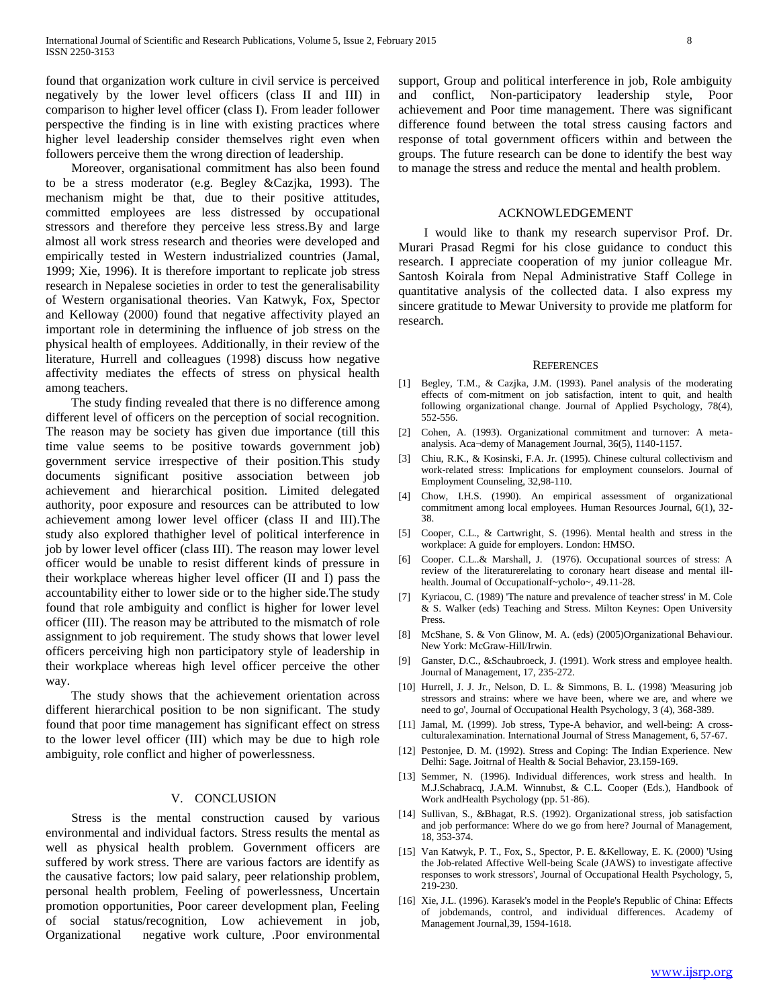found that organization work culture in civil service is perceived negatively by the lower level officers (class II and III) in comparison to higher level officer (class I). From leader follower perspective the finding is in line with existing practices where higher level leadership consider themselves right even when followers perceive them the wrong direction of leadership.

 Moreover, organisational commitment has also been found to be a stress moderator (e.g. Begley &Cazjka, 1993). The mechanism might be that, due to their positive attitudes, committed employees are less distressed by occupational stressors and therefore they perceive less stress.By and large almost all work stress research and theories were developed and empirically tested in Western industrialized countries (Jamal, 1999; Xie, 1996). It is therefore important to replicate job stress research in Nepalese societies in order to test the generalisability of Western organisational theories. Van Katwyk, Fox, Spector and Kelloway (2000) found that negative affectivity played an important role in determining the influence of job stress on the physical health of employees. Additionally, in their review of the literature, Hurrell and colleagues (1998) discuss how negative affectivity mediates the effects of stress on physical health among teachers.

 The study finding revealed that there is no difference among different level of officers on the perception of social recognition. The reason may be society has given due importance (till this time value seems to be positive towards government job) government service irrespective of their position.This study documents significant positive association between job achievement and hierarchical position. Limited delegated authority, poor exposure and resources can be attributed to low achievement among lower level officer (class II and III).The study also explored thathigher level of political interference in job by lower level officer (class III). The reason may lower level officer would be unable to resist different kinds of pressure in their workplace whereas higher level officer (II and I) pass the accountability either to lower side or to the higher side.The study found that role ambiguity and conflict is higher for lower level officer (III). The reason may be attributed to the mismatch of role assignment to job requirement. The study shows that lower level officers perceiving high non participatory style of leadership in their workplace whereas high level officer perceive the other way.

 The study shows that the achievement orientation across different hierarchical position to be non significant. The study found that poor time management has significant effect on stress to the lower level officer (III) which may be due to high role ambiguity, role conflict and higher of powerlessness.

#### V. CONCLUSION

 Stress is the mental construction caused by various environmental and individual factors. Stress results the mental as well as physical health problem. Government officers are suffered by work stress. There are various factors are identify as the causative factors; low paid salary, peer relationship problem, personal health problem, Feeling of powerlessness, Uncertain promotion opportunities, Poor career development plan, Feeling of social status/recognition, Low achievement in job, Organizational negative work culture, .Poor environmental

support, Group and political interference in job, Role ambiguity and conflict, Non-participatory leadership style, Poor achievement and Poor time management. There was significant difference found between the total stress causing factors and response of total government officers within and between the groups. The future research can be done to identify the best way to manage the stress and reduce the mental and health problem.

#### ACKNOWLEDGEMENT

 I would like to thank my research supervisor Prof. Dr. Murari Prasad Regmi for his close guidance to conduct this research. I appreciate cooperation of my junior colleague Mr. Santosh Koirala from Nepal Administrative Staff College in quantitative analysis of the collected data. I also express my sincere gratitude to Mewar University to provide me platform for research.

#### **REFERENCES**

- [1] Begley, T.M., & Cazjka, J.M. (1993). Panel analysis of the moderating effects of com-mitment on job satisfaction, intent to quit, and health following organizational change. Journal of Applied Psychology, 78(4), 552-556.
- [2] Cohen, A. (1993). Organizational commitment and turnover: A metaanalysis. Aca¬demy of Management Journal, 36(5), 1140-1157.
- [3] Chiu, R.K., & Kosinski, F.A. Jr. (1995). Chinese cultural collectivism and work-related stress: Implications for employment counselors. Journal of Employment Counseling, 32,98-110.
- [4] Chow, I.H.S. (1990). An empirical assessment of organizational commitment among local employees. Human Resources Journal, 6(1), 32- 38.
- [5] Cooper, C.L., & Cartwright, S. (1996). Mental health and stress in the workplace: A guide for employers. London: HMSO.
- [6] Cooper. C.L..& Marshall, J. (1976). Occupational sources of stress: A review of the literaturerelating to coronary heart disease and mental illhealth. Journal of Occupationalf~ycholo~, 49.11-28.
- [7] Kyriacou, C. (1989) 'The nature and prevalence of teacher stress' in M. Cole & S. Walker (eds) Teaching and Stress. Milton Keynes: Open University Press.
- [8] McShane, S. & Von Glinow, M. A. (eds) (2005)Organizational Behaviour. New York: McGraw-Hill/Irwin.
- [9] Ganster, D.C., &Schaubroeck, J. (1991). Work stress and employee health. Journal of Management, 17, 235-272.
- [10] Hurrell, J. J. Jr., Nelson, D. L. & Simmons, B. L. (1998) 'Measuring job stressors and strains: where we have been, where we are, and where we need to go', Journal of Occupational Health Psychology, 3 (4), 368-389.
- [11] Jamal, M. (1999). Job stress, Type-A behavior, and well-being: A crossculturalexamination. International Journal of Stress Management, 6, 57-67.
- [12] Pestonjee, D. M. (1992). Stress and Coping: The Indian Experience. New Delhi: Sage. Joitrnal of Health & Social Behavior, 23.159-169.
- [13] Semmer, N. (1996). Individual differences, work stress and health. In M.J.Schabracq, J.A.M. Winnubst, & C.L. Cooper (Eds.), Handbook of Work andHealth Psychology (pp. 51-86).
- [14] Sullivan, S., &Bhagat, R.S. (1992). Organizational stress, job satisfaction and job performance: Where do we go from here? Journal of Management, 18, 353-374.
- [15] Van Katwyk, P. T., Fox, S., Spector, P. E. &Kelloway, E. K. (2000) 'Using the Job-related Affective Well-being Scale (JAWS) to investigate affective responses to work stressors', Journal of Occupational Health Psychology, 5, 219-230.
- [16] Xie, J.L. (1996). Karasek's model in the People's Republic of China: Effects of jobdemands, control, and individual differences. Academy of Management Journal,39, 1594-1618.